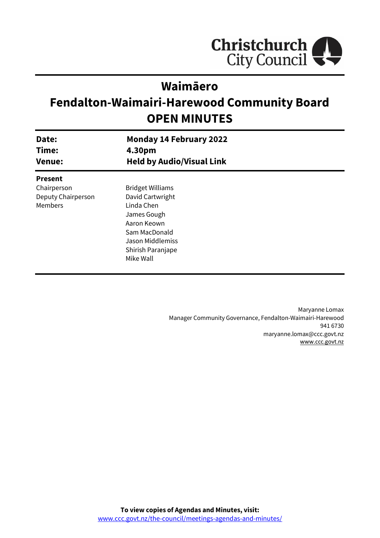

# **Waimāero**

# **Fendalton-Waimairi-Harewood Community Board OPEN MINUTES**

| Date:<br>Time:<br><b>Venue:</b>              | <b>Monday 14 February 2022</b><br>4.30pm<br><b>Held by Audio/Visual Link</b>                                                                      |  |
|----------------------------------------------|---------------------------------------------------------------------------------------------------------------------------------------------------|--|
| <b>Present</b>                               |                                                                                                                                                   |  |
| Chairperson<br>Deputy Chairperson<br>Members | <b>Bridget Williams</b><br>David Cartwright<br>Linda Chen<br>James Gough<br>Aaron Keown<br>Sam MacDonald<br>Jason Middlemiss<br>Shirish Paranjape |  |
|                                              | Mike Wall                                                                                                                                         |  |

Maryanne Lomax Manager Community Governance, Fendalton-Waimairi-Harewood 941 6730 maryanne.lomax@ccc.govt.nz [www.ccc.govt.nz](http://www.ccc.govt.nz/)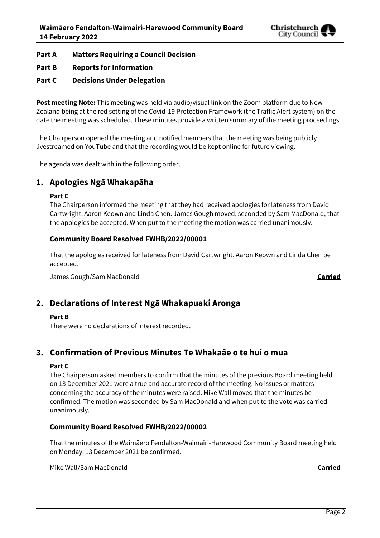

**Part A Matters Requiring a Council Decision**

- **Part B Reports for Information**
- **Part C Decisions Under Delegation**

**Post meeting Note:** This meeting was held via audio/visual link on the Zoom platform due to New Zealand being at the red setting of the Covid-19 Protection Framework (the Traffic Alert system) on the date the meeting was scheduled. These minutes provide a written summary of the meeting proceedings.

The Chairperson opened the meeting and notified members that the meeting was being publicly livestreamed on YouTube and that the recording would be kept online for future viewing.

The agenda was dealt with in the following order.

## **1. Apologies Ngā Whakapāha**

### **Part C**

The Chairperson informed the meeting that they had received apologies for lateness from David Cartwright, Aaron Keown and Linda Chen. James Gough moved, seconded by Sam MacDonald, that the apologies be accepted. When put to the meeting the motion was carried unanimously.

### **Community Board Resolved FWHB/2022/00001**

That the apologies received for lateness from David Cartwright, Aaron Keown and Linda Chen be accepted.

James Gough/Sam MacDonald **Carried**

### **2. Declarations of Interest Ngā Whakapuaki Aronga**

### **Part B**

There were no declarations of interest recorded.

# **3. Confirmation of Previous Minutes Te Whakaāe o te hui o mua**

### **Part C**

The Chairperson asked members to confirm that the minutes of the previous Board meeting held on 13 December 2021 were a true and accurate record of the meeting. No issues or matters concerning the accuracy of the minutes were raised. Mike Wall moved that the minutes be confirmed. The motion was seconded by Sam MacDonald and when put to the vote was carried unanimously.

### **Community Board Resolved FWHB/2022/00002**

That the minutes of the Waimāero Fendalton-Waimairi-Harewood Community Board meeting held on Monday, 13 December 2021 be confirmed.

Mike Wall/Sam MacDonald **Carried**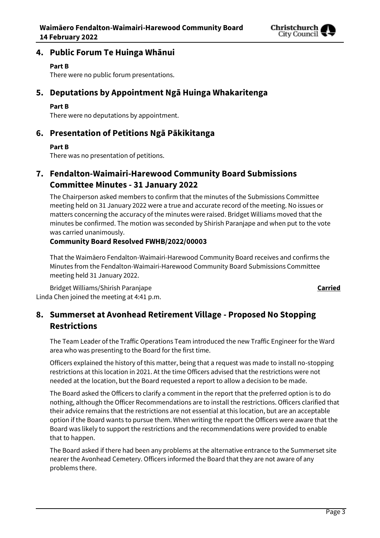

## **4. Public Forum Te Huinga Whānui**

### **Part B**

There were no public forum presentations.

# **5. Deputations by Appointment Ngā Huinga Whakaritenga**

### **Part B**

There were no deputations by appointment.

# **6. Presentation of Petitions Ngā Pākikitanga**

### **Part B**

There was no presentation of petitions.

# **7. Fendalton-Waimairi-Harewood Community Board Submissions Committee Minutes - 31 January 2022**

The Chairperson asked members to confirm that the minutes of the Submissions Committee meeting held on 31 January 2022 were a true and accurate record of the meeting. No issues or matters concerning the accuracy of the minutes were raised. Bridget Williams moved that the minutes be confirmed. The motion was seconded by Shirish Paranjape and when put to the vote was carried unanimously.

### **Community Board Resolved FWHB/2022/00003**

That the Waimāero Fendalton-Waimairi-Harewood Community Board receives and confirms the Minutes from the Fendalton-Waimairi-Harewood Community Board Submissions Committee meeting held 31 January 2022.

Bridget Williams/Shirish Paranjape **Carried** Linda Chen joined the meeting at 4:41 p.m.

# **8. Summerset at Avonhead Retirement Village - Proposed No Stopping Restrictions**

The Team Leader of the Traffic Operations Team introduced the new Traffic Engineer for the Ward area who was presenting to the Board for the first time.

Officers explained the history of this matter, being that a request was made to install no-stopping restrictions at this location in 2021. At the time Officers advised that the restrictions were not needed at the location, but the Board requested a report to allow a decision to be made.

The Board asked the Officers to clarify a comment in the report that the preferred option is to do nothing, although the Officer Recommendations are to install the restrictions. Officers clarified that their advice remains that the restrictions are not essential at this location, but are an acceptable option if the Board wants to pursue them. When writing the report the Officers were aware that the Board was likely to support the restrictions and the recommendations were provided to enable that to happen.

The Board asked if there had been any problems at the alternative entrance to the Summerset site nearer the Avonhead Cemetery. Officers informed the Board that they are not aware of any problems there.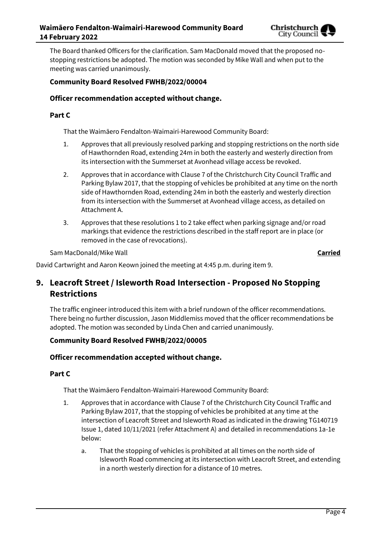

The Board thanked Officers for the clarification. Sam MacDonald moved that the proposed nostopping restrictions be adopted. The motion was seconded by Mike Wall and when put to the meeting was carried unanimously.

### **Community Board Resolved FWHB/2022/00004**

### **Officer recommendation accepted without change.**

### **Part C**

That the Waimāero Fendalton-Waimairi-Harewood Community Board:

- 1. Approves that all previously resolved parking and stopping restrictions on the north side of Hawthornden Road, extending 24m in both the easterly and westerly direction from its intersection with the Summerset at Avonhead village access be revoked.
- 2. Approves that in accordance with Clause 7 of the Christchurch City Council Traffic and Parking Bylaw 2017, that the stopping of vehicles be prohibited at any time on the north side of Hawthornden Road, extending 24m in both the easterly and westerly direction from its intersection with the Summerset at Avonhead village access, as detailed on Attachment A.
- 3. Approves that these resolutions 1 to 2 take effect when parking signage and/or road markings that evidence the restrictions described in the staff report are in place (or removed in the case of revocations).

Sam MacDonald/Mike Wall **Carried**

David Cartwright and Aaron Keown joined the meeting at 4:45 p.m. during item 9.

# **9. Leacroft Street / Isleworth Road Intersection - Proposed No Stopping Restrictions**

The traffic engineer introduced this item with a brief rundown of the officer recommendations. There being no further discussion, Jason Middlemiss moved that the officer recommendations be adopted. The motion was seconded by Linda Chen and carried unanimously.

### **Community Board Resolved FWHB/2022/00005**

### **Officer recommendation accepted without change.**

### **Part C**

That the Waimāero Fendalton-Waimairi-Harewood Community Board:

- 1. Approves that in accordance with Clause 7 of the Christchurch City Council Traffic and Parking Bylaw 2017, that the stopping of vehicles be prohibited at any time at the intersection of Leacroft Street and Isleworth Road as indicated in the drawing TG140719 Issue 1, dated 10/11/2021 (refer Attachment A) and detailed in recommendations 1a-1e below:
	- a. That the stopping of vehicles is prohibited at all times on the north side of Isleworth Road commencing at its intersection with Leacroft Street, and extending in a north westerly direction for a distance of 10 metres.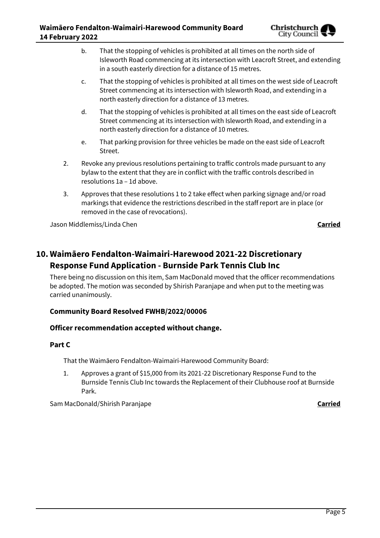

- b. That the stopping of vehicles is prohibited at all times on the north side of Isleworth Road commencing at its intersection with Leacroft Street, and extending in a south easterly direction for a distance of 15 metres.
- c. That the stopping of vehicles is prohibited at all times on the west side of Leacroft Street commencing at its intersection with Isleworth Road, and extending in a north easterly direction for a distance of 13 metres.
- d. That the stopping of vehicles is prohibited at all times on the east side of Leacroft Street commencing at its intersection with Isleworth Road, and extending in a north easterly direction for a distance of 10 metres.
- e. That parking provision for three vehicles be made on the east side of Leacroft Street.
- 2. Revoke any previous resolutions pertaining to traffic controls made pursuant to any bylaw to the extent that they are in conflict with the traffic controls described in resolutions 1a – 1d above.
- 3. Approves that these resolutions 1 to 2 take effect when parking signage and/or road markings that evidence the restrictions described in the staff report are in place (or removed in the case of revocations).

Jason Middlemiss/Linda Chen **Carried**

# **10. Waimāero Fendalton-Waimairi-Harewood 2021-22 Discretionary Response Fund Application - Burnside Park Tennis Club Inc**

There being no discussion on this item, Sam MacDonald moved that the officer recommendations be adopted. The motion was seconded by Shirish Paranjape and when put to the meeting was carried unanimously.

### **Community Board Resolved FWHB/2022/00006**

### **Officer recommendation accepted without change.**

### **Part C**

That the Waimāero Fendalton-Waimairi-Harewood Community Board:

1. Approves a grant of \$15,000 from its 2021-22 Discretionary Response Fund to the Burnside Tennis Club Inc towards the Replacement of their Clubhouse roof at Burnside Park.

Sam MacDonald/Shirish Paranjape **Carried**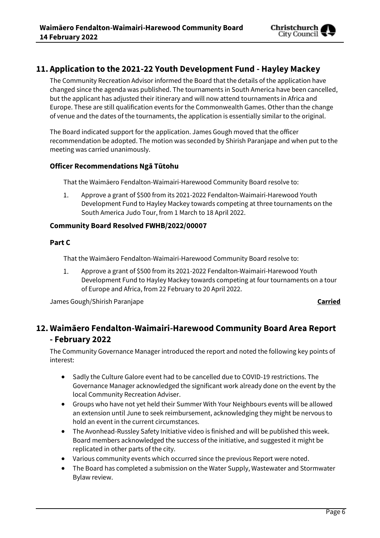

# **11. Application to the 2021-22 Youth Development Fund - Hayley Mackey**

The Community Recreation Advisor informed the Board that the details of the application have changed since the agenda was published. The tournaments in South America have been cancelled, but the applicant has adjusted their itinerary and will now attend tournaments in Africa and Europe. These are still qualification events for the Commonwealth Games. Other than the change of venue and the dates of the tournaments, the application is essentially similar to the original.

The Board indicated support for the application. James Gough moved that the officer recommendation be adopted. The motion was seconded by Shirish Paranjape and when put to the meeting was carried unanimously.

### **Officer Recommendations Ngā Tūtohu**

That the Waimāero Fendalton-Waimairi-Harewood Community Board resolve to:

 $1.$ Approve a grant of \$500 from its 2021-2022 Fendalton-Waimairi-Harewood Youth Development Fund to Hayley Mackey towards competing at three tournaments on the South America Judo Tour, from 1 March to 18 April 2022.

### **Community Board Resolved FWHB/2022/00007**

### **Part C**

That the Waimāero Fendalton-Waimairi-Harewood Community Board resolve to:

 $1.$ Approve a grant of \$500 from its 2021-2022 Fendalton-Waimairi-Harewood Youth Development Fund to Hayley Mackey towards competing at four tournaments on a tour of Europe and Africa, from 22 February to 20 April 2022.

James Gough/Shirish Paranjape **Carried**

# **12. Waimāero Fendalton-Waimairi-Harewood Community Board Area Report - February 2022**

The Community Governance Manager introduced the report and noted the following key points of interest:

- Sadly the Culture Galore event had to be cancelled due to COVID-19 restrictions. The Governance Manager acknowledged the significant work already done on the event by the local Community Recreation Adviser.
- Groups who have not yet held their Summer With Your Neighbours events will be allowed an extension until June to seek reimbursement, acknowledging they might be nervous to hold an event in the current circumstances.
- The Avonhead-Russley Safety Initiative video is finished and will be published this week. Board members acknowledged the success of the initiative, and suggested it might be replicated in other parts of the city.
- Various community events which occurred since the previous Report were noted.
- The Board has completed a submission on the Water Supply, Wastewater and Stormwater Bylaw review.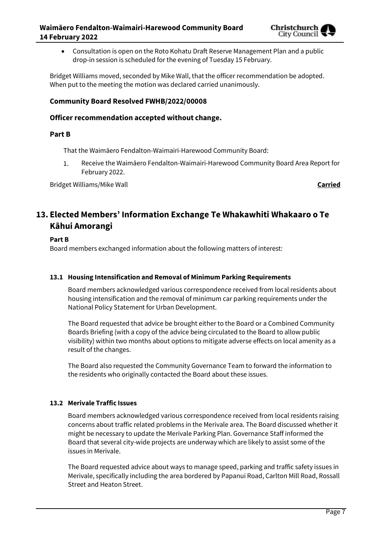

 Consultation is open on the Roto Kohatu Draft Reserve Management Plan and a public drop-in session is scheduled for the evening of Tuesday 15 February.

Bridget Williams moved, seconded by Mike Wall, that the officer recommendation be adopted. When put to the meeting the motion was declared carried unanimously.

### **Community Board Resolved FWHB/2022/00008**

### **Officer recommendation accepted without change.**

### **Part B**

That the Waimāero Fendalton-Waimairi-Harewood Community Board:

1. Receive the Waimāero Fendalton-Waimairi-Harewood Community Board Area Report for February 2022.

Bridget Williams/Mike Wall **Carried**

# **13. Elected Members' Information Exchange Te Whakawhiti Whakaaro o Te Kāhui Amorangi**

### **Part B**

Board members exchanged information about the following matters of interest:

### **13.1 Housing Intensification and Removal of Minimum Parking Requirements**

Board members acknowledged various correspondence received from local residents about housing intensification and the removal of minimum car parking requirements under the National Policy Statement for Urban Development.

The Board requested that advice be brought either to the Board or a Combined Community Boards Briefing (with a copy of the advice being circulated to the Board to allow public visibility) within two months about options to mitigate adverse effects on local amenity as a result of the changes.

The Board also requested the Community Governance Team to forward the information to the residents who originally contacted the Board about these issues.

### **13.2 Merivale Traffic Issues**

Board members acknowledged various correspondence received from local residents raising concerns about traffic related problems in the Merivale area. The Board discussed whether it might be necessary to update the Merivale Parking Plan. Governance Staff informed the Board that several city-wide projects are underway which are likely to assist some of the issues in Merivale.

The Board requested advice about ways to manage speed, parking and traffic safety issues in Merivale, specifically including the area bordered by Papanui Road, Carlton Mill Road, Rossall Street and Heaton Street.